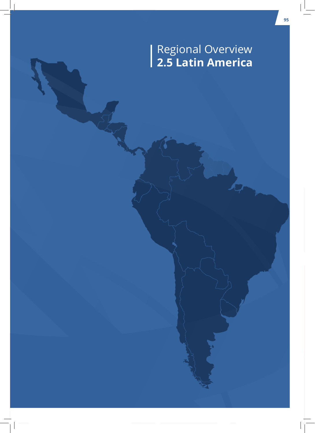# Regional Overview **2.5 Latin America**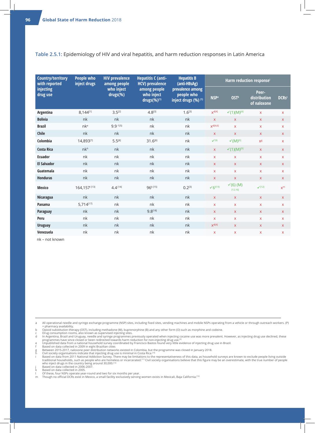#### **Table 2.5.1:** Epidemiology of HIV and viral hepatitis, and harm reduction responses in Latin America

| <b>Country/territory</b><br>with reported<br><i>injecting</i><br>drug use | <b>People who</b><br>inject drugs | <b>HIV prevalence</b><br>among people<br>who inject<br>drugs(%) | <b>Hepatitis C (anti-</b><br><b>HCV)</b> prevalence<br>among people<br>who inject<br>drugs(%) <sup>(1)</sup> | <b>Hepatitis B</b><br>(anti-HBsAg)<br>prevalence among<br>people who<br>inject drugs (%) (1) | Harm reduction responsei |                                  |                                      |              |
|---------------------------------------------------------------------------|-----------------------------------|-----------------------------------------------------------------|--------------------------------------------------------------------------------------------------------------|----------------------------------------------------------------------------------------------|--------------------------|----------------------------------|--------------------------------------|--------------|
|                                                                           |                                   |                                                                 |                                                                                                              |                                                                                              | <b>NSP</b> <sup>a</sup>  | <b>OST</b> <sup>b</sup>          | Peer-<br>distribution<br>of naloxone | <b>DCRsc</b> |
| Argentina                                                                 | 8,144[1]                          | $3.5^{[2]}$                                                     | $4.8^{[3]}$                                                                                                  | $1.6^{[3]}$                                                                                  | $X^{d[4]}$               | $V(1)(M)^{[4]}$                  | $\mathsf{x}$                         | $\mathsf{X}$ |
| <b>Bolivia</b>                                                            | nk                                | nk                                                              | nk                                                                                                           | nk                                                                                           | $\mathsf{X}$             | $\mathsf{X}$                     | $\mathsf{X}$                         | $\mathsf{X}$ |
| <b>Brazil</b>                                                             | nke                               | 9.9 f[5]                                                        | nk                                                                                                           | nk                                                                                           | $X^{d[4,6]}$             | $\bar{\mathbf{x}}$               | $\mathsf{X}$                         | $\mathsf{X}$ |
| Chile                                                                     | nk                                | nk                                                              | nk                                                                                                           | nk                                                                                           | $\mathsf{X}$             | $\mathsf{X}$                     | $\mathsf{X}$                         | $\mathsf{x}$ |
| Colombia                                                                  | 14,893[7]                         | $5.5^{[8]}$                                                     | 31.6[8]                                                                                                      | nk                                                                                           | $\checkmark(9)$          | $V(M)^{[9]}$                     | $\mathsf{X}^{\mathsf{g}}$            | X            |
| <b>Costa Rica</b>                                                         | nk <sup>h</sup>                   | nk                                                              | nk                                                                                                           | nk                                                                                           | $\mathsf{X}$             | $V(1)(M)^{[9]}$                  | $\mathsf{X}$                         | $\mathsf{X}$ |
| <b>Ecuador</b>                                                            | nk                                | nk                                                              | nk                                                                                                           | nk                                                                                           | $\mathsf{X}$             | $\mathsf{x}$                     | $\mathsf{X}$                         | $\mathsf{X}$ |
| <b>El Salvador</b>                                                        | nk                                | nk                                                              | nk                                                                                                           | nk                                                                                           | $\mathsf{X}$             | $\mathsf{X}$                     | $\mathsf{X}$                         | $\mathsf{x}$ |
| Guatemala                                                                 | nk                                | nk                                                              | nk                                                                                                           | nk                                                                                           | $\mathsf{X}$             | $\mathsf X$                      | $\mathsf{X}$                         | $\mathsf{X}$ |
| <b>Honduras</b>                                                           | nk                                | nk                                                              | nk                                                                                                           | nk                                                                                           | $\mathsf{X}$             | $\mathsf X$                      | $\mathsf{X}$                         | $\mathsf{X}$ |
| <b>Mexico</b>                                                             | 164,157[13]                       | $4.4^{[14]}$                                                    | 96k[15]                                                                                                      | $0.2^{[3]}$                                                                                  | $\sqrt{6}^{1(19)}$       | $\checkmark$ (6) (M)<br>[12, 16] | $\sqrt{12}$                          | $X^m$        |
| Nicaragua                                                                 | nk                                | nk                                                              | nk                                                                                                           | nk                                                                                           | $\mathsf{X}$             | $\mathsf{X}$                     | $\mathsf X$                          | $\mathsf X$  |
| Panama                                                                    | 5,714[17]                         | nk                                                              | nk                                                                                                           | nk                                                                                           | $\mathsf{x}$             | $\mathsf X$                      | $\mathsf X$                          | $\mathsf{X}$ |
| <b>Paraguay</b>                                                           | nk                                | nk                                                              | 9.8[18]                                                                                                      | nk                                                                                           | $\mathsf{X}$             | $\mathsf{X}$                     | $\mathsf{X}$                         | $\mathsf X$  |
| Peru                                                                      | nk                                | nk                                                              | nk                                                                                                           | nk                                                                                           | $\mathsf{X}$             | $\mathsf X$                      | $\mathsf{X}$                         | $\mathsf{x}$ |
| <b>Uruguay</b>                                                            | nk                                | nk                                                              | nk                                                                                                           | nk                                                                                           | $X^{d[4]}$               | $\mathsf{X}$                     | $\mathsf{X}$                         | $\mathsf{X}$ |
| Venezuela                                                                 | nk                                | nk                                                              | nk                                                                                                           | nk                                                                                           | $\mathsf{x}$             | $\mathsf{x}$                     | $\mathsf{X}$                         | $\mathsf{x}$ |

nk – not known

a All operational needle and syringe exchange programme (NSP) sites, including fixed sites, vending machines and mobile NSPs operating from a vehicle or through outreach workers. (P) = pharmacy availability. b Opioid substitution therapy (OST), including methadone (M), buprenorphine (B) and any other form (O) such as morphine and codeine.

c Drug consumption rooms, also known as supervised injecting sites.<br>d In Argentina, Brazil and Uruguay, needle and syringe programmes previously operated when injecting cocaine use was more prevalent. However, as injecting

f Based on data collected in 2009 in eight Brazilian cities g Between 2015-2017, naloxone peer distribution networks existed in Colombia, but the programme was closed in January 2018.

h Civil society organisations indicate that injecting drug use is minimal in Costa Rica.<sup>[10]</sup><br>Based on data from 2011 National Addiction Survey. There may be limitations to the representativeness of this data, as househol

l Of these, four NSPs operate year-round and two for six months per year.<br>m Though no official DCRs exist in Mexico, a small facility exclusively serving women exists in Mexicali, Baja California.<sup>[12</sup>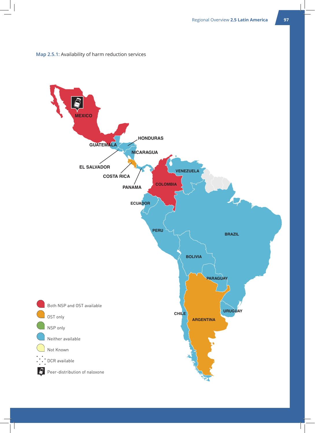

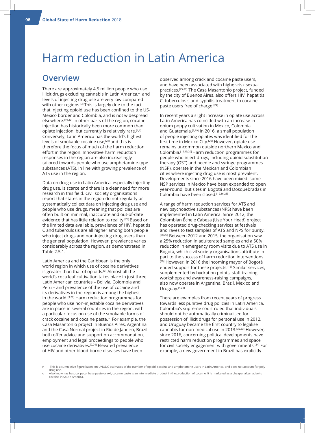# Harm reduction in Latin America

### **Overview**

There are approximately 4.5 million people who use illicit drugs excluding cannabis in Latin America,<sup>n</sup> and levels of injecting drug use are very low compared with other regions.<sup>[3]</sup> This is largely due to the fact that injecting opioid use has been confined to the US-Mexico border and Colombia, and is not widespread elsewhere.<sup>[19,20]</sup> In other parts of the region, cocaine injection has historically been more common than opiate injection, but currently is relatively rare.[1,6] Conversely, Latin America has the world's highest levels of smokable cocaine use,<sup>[21]</sup> and this is therefore the focus of much of the harm reduction effort in the region. Innovative harm reduction responses in the region are also increasingly tailored towards people who use amphetamine-type substances (ATS), in line with growing prevalence of ATS use in the region.

Data on drug use in Latin America, especially injecting drug use, is scarce and there is a clear need for more research in this field. Civil society organisations report that states in the region do not regularly or systematically collect data on injecting drug use and people who use drugs, meaning that policies are often built on minimal, inaccurate and out-of-date evidence that has little relation to reality.[22] Based on the limited data available, prevalence of HIV, hepatitis C and tuberculosis are all higher among both people who inject drugs and non-injecting drug users than the general population. However, prevalence varies considerably across the region, as demonstrated in Table 2.5.1.

Latin America and the Caribbean is the only world region in which use of cocaine derivatives is greater than that of opioids.[3] Almost all the world's coca leaf cultivation takes place in just three Latin American countries – Bolivia, Colombia and Peru – and prevalence of the use of cocaine and its derivatives in the region is among the highest in the world.[3,21] Harm reduction programmes for people who use non-injectable cocaine derivatives are in place in several countries in the region, with a particular focus on use of the smokable forms of crack cocaine and cocaine paste.<sup>o</sup> For example, the Casa Masantonio project in Buenos Aires, Argentina and the Casa Normal project in Rio de Janeiro, Brazil both offer advice and support on accommodation, employment and legal proceedings to people who use cocaine derivatives.<sup>[2,24]</sup> Elevated prevalence of HIV and other blood-borne diseases have been

observed among crack and cocaine paste users, and have been associated with higher-risk sexual practices.[25-27] The Casa Masantonio project, funded by the city of Buenos Aires, also offers HIV, hepatitis C, tuberculosis and syphilis treatment to cocaine paste users free of charge.[24]

In recent years a slight increase in opiate use across Latin America has coincided with an increase in opium poppy cultivation in Mexico, Colombia and Guatemala.<sup>[3,19]</sup> In 2016, a small population of people injecting opiates was identified for the first time in Mexico City.[20] However, opiate use remains uncommon outside northern Mexico and Colombia.[12,19,20] Harm reduction programmes for people who inject drugs, including opioid substitution therapy (OST) and needle and syringe programmes (NSP), operate in the Mexican and Colombian cities where injecting drug use is most prevalent. Developments since 2016 have been mixed: some NSP services in Mexico have been expanded to open year-round, but sites in Bogotá and Dosquebradas in Colombia have been closed.[12,16,23]

A range of harm reduction services for ATS and new psychoactive substances (NPS) have been implemented in Latin America. Since 2012, the Colombian Échele Cabeza (Use Your Head) project has operated drug-checking services at festivals and raves to test samples of ATS and NPS for purity. [28,29] Between 2012 and 2015, the organisation saw a 25% reduction in adulterated samples and a 50% reduction in emergency room visits due to ATS use in Bogotá, which civil society organisations attribute in part to the success of harm reduction interventions. [30] However, in 2016 the incoming mayor of Bogotá ended support for these projects.[16] Similar services, supplemented by hydration points, staff training workshops and awareness-raising campaigns, also now operate in Argentina, Brazil, Mexico and Uruguay.<sup>[4,31]</sup>

There are examples from recent years of progress towards less punitive drug policies in Latin America. Colombia's supreme court ruled that individuals should not be automatically criminalised for possession of illicit drugs for personal use in 2012, and Uruguay became the first country to legalise cannabis for non-medical use in 2013.[32,33] However, since 2016, concerning political developments have restricted harm reduction programmes and space for civil society engagement with governments.[34] For example, a new government in Brazil has explicitly

o Also known as basuco, paco, base paste or oxi, cocaine paste is an intermediate product in the production of cocaine. It is marketed as a cheaper alternative to cocaine in South America.

n This is a cumulative figure based on UNODC estimates of the number of opioid, cocaine and amphetamine users in Latin America, and does not account for polydrug use.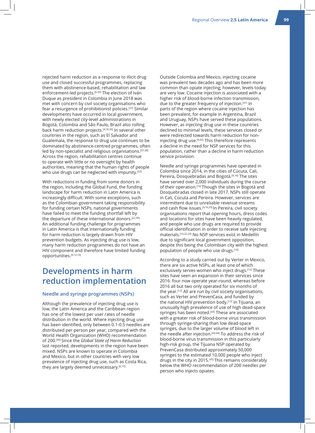rejected harm reduction as a response to illicit drug use and closed successful programmes, replacing them with abstinence-based, rehabilitation and law enforcement-led projects.<sup>[6,35]</sup> The election of Iván Duque as president in Colombia in June 2018 was met with concern by civil society organisations who fear a resurgence of prohibitionist policies.[22] Similar developments have occurred in local government, with newly elected city-level administrations in Bogotá, Colombia and São Paulo, Brazil also rolling back harm reduction projects.[4,16,36] In several other countries in the region, such as El Salvador and Guatemala, the response to drug use continues to be dominated by abstinence-centred programmes, often led by non-specialist and religious organisations.<sup>[37,38]</sup> Across the region, rehabilitation centres continue to operate with little or no oversight by health authorities, meaning that the human rights of people who use drugs can be neglected with impunity.<sup>[22]</sup>

With reductions in funding from some donors in the region, including the Global Fund, the funding landscape for harm reduction in Latin America is increasingly difficult. With some exceptions, such as the Colombian government taking responsibility for funding certain NSPs, national governments have failed to meet the funding shortfall left by the departure of these international donors.<sup>[22,39]</sup> An additional funding challenge for programmes in Latin America is that internationally funding for harm reduction is largely drawn from HIV prevention budgets. As injecting drug use is low, many harm reduction programmes do not have an HIV component and therefore have limited funding opportunities.[9,12,16]

# **Developments in harm reduction implementation**

#### **Needle and syringe programmes (NSPs)**

Although the prevalence of injecting drug use is low, the Latin America and the Caribbean region has one of the lowest per user rates of needle distribution in the world. Where injecting drug use has been identified, only between 0.1-0.5 needles are distributed per person per year, compared with the World Health Organization (WHO) recommendation of 200.[40] Since the *Global State of Harm Reduction* last reported, developments in the region have been mixed. NSPs are known to operate in Colombia and Mexico, but in other countries with very low prevalence of injecting drug use, such as Costa Rica, they are largely deemed unnecessary.<sup>[6,10]</sup>

Outside Colombia and Mexico, injecting cocaine was prevalent two decades ago and has been more common than opiate injecting; however, levels today are very low. Cocaine injection is associated with a higher risk of blood-borne infection transmission, due to the greater frequency of injection.[41] In parts of the region where cocaine injection has been prevalent, for example in Argentina, Brazil and Uruguay, NSPs have served these populations. However, as injecting drug use in these countries declined to minimal levels, these services closed or were redirected towards harm reduction for noninjecting drug use.<sup>[4,42]</sup> This therefore represents a decline in the need for NSP services for this population, rather than a decline in harm reduction service provision.

Needle and syringe programmes have operated in Colombia since 2014, in the cities of Cúcuta, Cali, Pereira, Dosquebradas and Bogotá.[4,16] The sites have served over 2,000 individuals during the course of their operation.[16] Though the sites in Bogotá and Dosquebradas closed in late 2017, NSPs still operate in Cali, Cúcuta and Pereira. However, services are intermittent due to unreliable revenue streams and cash flow issues.<sup>[4,16,23]</sup> In Pereira, civil society organisations report that opening hours, dress codes and locations for sites have been heavily regulated, and people who use drugs are required to provide official identification in order to receive safe injecting materials.[16,22,23] No NSP services exist in Medellín due to significant local government opposition, despite this being the Colombian city with the highest population of people who use drugs.[16]

According to a study carried out by Verter in Mexico, there are six active NSPs, at least one of which exclusively serves women who inject drugs.<sup>[12]</sup> These sites have seen an expansion in their services since 2016: four now operate year-round, whereas before 2016 all but two only operated for six months of the year.[12] All are run by civil society organisations, such as Verter and PrevenCasa, and funded by the national HIV prevention body.<sup>[12]</sup> In Tijuana, an unusually high prevalence of use of high dead-space syringes has been noted.<sup>[43]</sup> These are associated with a greater risk of blood-borne virus transmission through syringe-sharing than low dead-space syringes, due to the larger volume of blood left in the needle after injection.<sup>[43,44]</sup> To address the risk of blood-borne virus transmission in this particularly high-risk group, the Tijuana NSP operated by PrevenCasa distributed approximately 50,000 syringes to the estimated 10,000 people who inject drugs in the city in 2015.[45] This remains considerably below the WHO recommendation of 200 needles per person who injects opiates.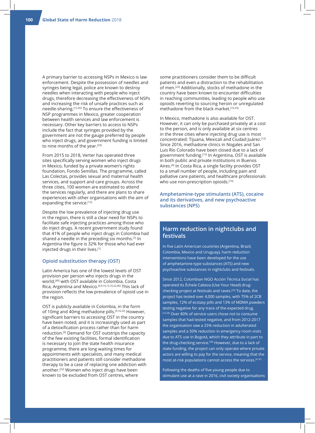A primary barrier to accessing NSPs in Mexico is law enforcement. Despite the possession of needles and syringes being legal, police are known to destroy needles when interacting with people who inject drugs, therefore decreasing the effectiveness of NSPs and increasing the risk of unsafe practices such as needle-sharing.[12,45] To ensure the effectiveness of NSP programmes in Mexico, greater cooperation between health services and law enforcement is necessary. Other key barriers to access to NSPs include the fact that syringes provided by the government are not the gauge preferred by people who inject drugs, and government funding is limited to nine months of the year.[23]

From 2015 to 2018, Verter has operated three sites specifically serving women who inject drugs in Mexico, funded by a private women's rights foundation, Fondo Semillas. The programme, called Las Colectas, provides sexual and maternal health services, and support and care groups. Across the three cities, 100 women are estimated to attend the services regularly, and there are plans to share experiences with other organisations with the aim of expanding the service.[12]

Despite the low prevalence of injecting drug use in the region, there is still a clear need for NSPs to facilitate safe injecting practices among those who do inject drugs. A recent government study found that 41% of people who inject drugs in Colombia had shared a needle in the preceding six months.[7] In Argentina the figure is 32% for those who had ever injected drugs in their lives.[1]

#### **Opioid substitution therapy (OST)**

Latin America has one of the lowest levels of OST provision per person who injects drugs in the world,[40] with OST available in Colombia, Costa Rica, Argentina and Mexico.[4,9,10,12,16,22,46] This lack of provision reflects the low prevalence of opioid use in the region.

OST is publicly available in Colombia, in the form of 10mg and 40mg methadone pills.[9,16,22] However, significant barriers to accessing OST in the country have been noted, and it is increasingly used as part of a detoxification process rather than for harm reduction.[9] Demand for OST outstrips the capacity of the few existing facilities, formal identification is necessary to join the state health insurance programme, there are long waiting times for appointments with specialists, and many medical practitioners and patients still consider methadone therapy to be a case of replacing one addiction with another.[22] Women who inject drugs have been known to be excluded from OST centres, where

some practitioners consider them to be difficult patients and even a distraction to the rehabilitation of men.[22] Additionally, stocks of methadone in the country have been known to encounter difficulties in reaching communities, leading to people who use opioids reverting to sourcing heroin or unregulated methadone from the black market.[16,23]

In Mexico, methadone is also available for OST. However, it can only be purchased privately at a cost to the person, and is only available at six centres in the three cities where injecting drug use is most concentrated: Tijuana, Mexicali and Ciudad Juárez.[12] Since 2016, methadone clinics in Nogales and San Luis Río Colorado have been closed due to a lack of government funding.[12] In Argentina, OST is available in both public and private institutions in Buenos Aires.[4] In Costa Rica, a single facility provides OST to a small number of people, including pain and palliative care patients, and healthcare professionals who use non-prescription opioids.<sup>[10]</sup>

#### **Amphetamine-type stimulants (ATS), cocaine and its derivatives, and new psychoactive substances (NPS)**

#### **Harm reduction in nightclubs and festivals**

In five Latin American countries (Argentina, Brazil, Colombia, Mexico and Uruguay), harm reduction interventions have been developed for the use of amphetamine-type substances (ATS) and new psychoactive substances in nightclubs and festivals.

Since 2012, Colombian NGO Acción Técnica Social has operated its Échele Cabeza (Use Your Head) drugchecking project at festivals and raves.[29] To date, the project has tested over 4,000 samples, with 75% of 2CB samples, 12% of ecstasy pills and 13% of MDMA powders testing negative for any trace of the expected drug. [16,28] Over 80% of service users chose not to consume samples that had tested negative, and from 2012-2017 the organisation saw a 25% reduction in adulterated samples and a 50% reduction in emergency room visits due to ATS use in Bogotá, which they attribute in part to the drug-checking service.<sup>[30]</sup> However, due to a lack of state funding, the project can only operate where private actors are willing to pay for the service, meaning that the most at-risk populations cannot access the services.[4,16]

Following the deaths of five young people due to stimulant use at a rave in 2016, civil society organisations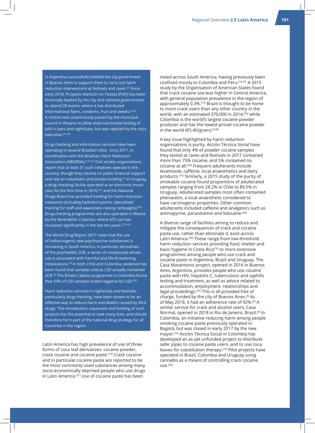in Argentina successfully lobbied the city government in Buenos Aires to support them to carry out harm reduction interventions at festivals and raves.[4] Since early 2018, Proyecto Atención en Fiestas (PAF!) has been financially backed by the city and national governments to attend 28 events, where it has distributed informational flyers, condoms, fruit and sweets.<sup>[4,56]</sup> A motion was unanimously passed by the municipal council in Rosario to allow state-sanctioned testing of pills in bars and nightclubs, but was rejected by the city's executive.[57,58]

Drug-checking and information services have been operating in several Brazilian cities since 2011, in coordination with the Brazilian Harm Reduction Association (ABORDA).<sup>[4,59,60]</sup> Civil society organisations report that at least 31 such initiatives operate in the country, though they receive no public financial support and rely on volunteers and private funding.<sup>[4]</sup> In Uruguay, a drug-checking facility operated at an electronic music rave for the first time in 2016,<sup>[61]</sup> and the National Drugs Board has provided funding for harm reduction measures (including hydration points, specialised training for staff and awareness-raising campaigns).<sup>[62]</sup> Drug-checking programmes are also operated in Mexico by the ReverdeSer Colectivo, where ATS use has increased significantly in the last ten years.<sup>[4,12,63]</sup>

The World Drug Report 2017 notes that the use of hallucinogenic new psychoactive substances is increasing in South America, in particular derivatives of the psychedelic 2CB, a series of compounds whose use is associated with harmful and life-threatening intoxications.[3] In both Chile and Colombia, evidence has been found that samples sold as LSD actually contained 2CB.<sup>[3]</sup> The Échele Cabeza programme in Colombia found that 33% of LSD samples tested negative for LSD.<sup>[28]</sup>

Harm reduction services in nightclubs and festivals, particularly drug-checking, have been shown to be an effective way to reduce harm and deaths caused by illicit drugs. The introduction, expansion and funding of such projects has the potential to save many lives, and should therefore form part of the national drug strategy for all countries in the region.

Latin America has high prevalence of use of three forms of coca leaf derivatives: cocaine powder, crack cocaine and cocaine paste.[19] Crack cocaine and in particular cocaine paste are reported to be the most commonly used substances among many socio-economically deprived people who use drugs in Latin America.<sup>[21]</sup> Use of cocaine paste has been

noted across South America, having previously been confined mostly to Colombia and Peru.[16,47] A 2015 study by the Organisation of American States found that crack cocaine use was higher in Central America, with general population prevalence in the region of approximately 0.3%.<sup>[19]</sup> Brazil is thought to be home to more crack users than any other country in the world, with an estimated 370,000 in 2014,[36] while Colombia is the world's largest cocaine powder producer and has the lowest-priced cocaine powder in the world ( $€5.40/gram$ ).<sup>[3,48]</sup>

A key issue highlighted by harm reduction organisations is purity. Acción Técnica Social have found that only 4% of powder cocaine samples they tested at raves and festivals in 2017 contained more than 75% cocaine, and 5% contained no cocaine at all.[28] Frequent adulterants include levamisole, caffeine, local anaesthetics and dairy products.[16] Similarly, a 2015 study of the purity of smokable cocaine found proportions of adulterated samples ranging from 28.2% in Chile to 89.5% in Uruguay. Adulterated samples most often contained phenacetin, a local anaesthetic considered to have carcinogenic properties. Other common adulterants included caffeine and analgesics such as aminopyrine, paracetamol and lidocaine.<sup>[49]</sup>

A diverse range of facilities aiming to reduce and mitigate the consequences of crack and cocaine paste use, rather than eliminate it, exist across Latin America.<sup>[50]</sup> These range from low-threshold harm reduction services providing food, shelter and basic hygiene in Costa Rica<sup>[10]</sup> to more extensive programmes among people who use crack and cocaine paste in Argentina, Brazil and Uruguay. The Casa Masantonio project, opened in 2016 in Buenos Aires, Argentina, provides people who use cocaine paste with HIV, hepatitis C, tuberculosis and syphilis testing and treatment, as well as advice related to accommodation, employment, relationships and legal proceedings.[24] This is all provided free of charge, funded by the city of Buenos Aires.[4] As of May 2018, it had an adherence rate of 92%.[4] A similar service for crack and alcohol users, Casa Normal, opened in 2018 in Rio de Janeiro, Brazil.[4] In Colombia, an initiative reducing harm among people smoking cocaine paste previously operated in Bogotá, but was closed in early 2017 by the new mayor.[16] Acción Técnica Social in Colombia has developed an as-yet unfunded project to distribute safer pipes to cocaine paste users, and to use coca leaves for substitution therapy.[16] Pilot projects have operated in Brazil, Colombia and Uruguay using cannabis as a means of controlling crack cocaine  $USP<sup>[34]</sup>$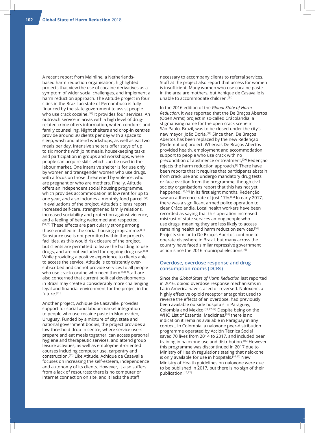A recent report from Mainline, a Netherlandsbased harm reduction organisation, highlighted projects that view the use of cocaine derivatives as a symptom of wider social challenges, and implement a harm reduction approach. The Atitude project in four cities in the Brazilian state of Pernambuco is fully financed by the state government to assist people who use crack cocaine.<sup>[51]</sup> It provides four services. An outreach service in areas with a high level of drugrelated crime offers information, water, condoms and family counselling. Night shelters and drop-in centres provide around 30 clients per day with a space to sleep, wash and attend workshops, as well as eat two meals per day. Intensive shelters offer stays of up to six months with joint meals, housekeeping tasks and participation in groups and workshops, where people can acquire skills which can be used in the labour market. One intensive shelter is for use only by women and transgender women who use drugs, with a focus on those threatened by violence, who are pregnant or who are mothers. Finally, Atitude offers an independent social housing programme, which provides accommodation at low rent for up to one year, and also includes a monthly food parcel.<sup>[51]</sup> In evaluations of the project, Atitude's clients report increased self-care, strengthened family relations, increased sociability and protection against violence, and a feeling of being welcomed and respected. [51,52] These effects are particularly strong among those enrolled in the social housing programme.<sup>[51]</sup> Substance use is not permitted within the project's facilities, as this would risk closure of the project, but clients are permitted to leave the building to use drugs, and are not excluded for ongoing drug use.<sup>[51]</sup> While providing a positive experience to clients able to access the service, Atitude is consistently oversubscribed and cannot provide services to all people who use crack cocaine who need them.<sup>[51]</sup> Staff are also concerned that current political developments in Brazil may create a considerably more challenging legal and financial environment for the project in the future.<sup>[51]</sup>

Another project, Achique de Casavalle, provides support for social and labour-market integration to people who use cocaine paste in Montevideo, Uruguay. Funded by a mixture of city, state and national government bodies, the project provides a low-threshold drop-in centre, where service users prepare and eat meals together, can access personal hygiene and therapeutic services, and attend group leisure activities, as well as employment-oriented courses including computer use, carpentry and construction.[51] Like Atitude, Achique de Casavalle focuses on increasing the self-esteem, independence and autonomy of its clients. However, it also suffers from a lack of resources: there is no computer or internet connection on site, and it lacks the staff

necessary to accompany clients to referral services. Staff at the project also report that access for women is insufficient. Many women who use cocaine paste in the area are mothers, but Achique de Casavalle is unable to accommodate children.<sup>[51]</sup>

In the 2016 edition of the *Global State of Harm Reduction*, it was reported that the De Braços Abertos (Open Arms) project in so-called Crâcolandia, a stigmatising name for the open crack scene in São Paulo, Brazil, was to be closed under the city's new mayor, João Doria.[29] Since then, De Braços Abertos has been replaced by the new Redenção (Redemption) project. Whereas De Braços Abertos provided health, employment and accommodation support to people who use crack with no precondition of abstinence or treatment,[29] Redenção rejects the harm reduction approach.<sup>[4]</sup> There have been reports that it requires that participants abstain from crack use and undergo mandatory drug tests or face eviction from the programme, though civil society organisations report that this has not yet happened.[53,54] In its first eight months, Redenção saw an adherence rate of just 17%.[55] In early 2017, there was a significant armed police operation to clear Crâcolandia. Local health workers have been recorded as saying that this operation increased mistrust of state services among people who use drugs, meaning they are less likely to access remaining health and harm reduction services.[36] Projects similar to De Braços Abertos continue to operate elsewhere in Brazil, but many across the country have faced similar repressive government action since the 2016 municipal elections.<sup>[6]</sup>

#### **Overdose, overdose response and drug consumption rooms (DCRs)**

Since the *Global State of Harm Reduction* last reported in 2016, opioid overdose response mechanisms in Latin America have stalled or reversed. Naloxone, a highly effective opioid receptor antagonist used to reverse the effects of an overdose, had previously been available outside hospitals in Paraguay, Colombia and Mexico.[12,22,64] Despite being on the WHO List of Essential Medicines,<sup>[65]</sup> there is no indication it remains available in Paraguay in any context. In Colombia, a naloxone peer-distribution programme operated by Acción Técnica Social saved 70 lives from 2014 to 2017, and included peer training in naloxone use and distribution.[16] However, this programme was discontinued in 2017 due to Ministry of Health regulations stating that naloxone is only available for use in hospitals.<sup>[16,22]</sup> New Ministry of Health guidelines on naloxone were due to be published in 2017, but there is no sign of their publication.[16,22]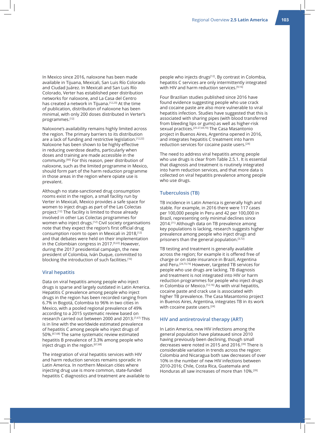In Mexico since 2016, naloxone has been made available in Tijuana, Mexicali, San Luis Río Colorado and Ciudad Juárez. In Mexicali and San Luis Río Colorado, Verter has established peer distribution networks for naloxone, and La Casa del Centro has created a network in Tijuana.<sup>[12,23]</sup> At the time of publication, distribution of naloxone has been minimal, with only 200 doses distributed in Verter's programmes.[12]

Naloxone's availability remains highly limited across the region. The primary barriers to its distribution are a lack of funding and restrictive legislation.[12,22] Naloxone has been shown to be highly effective in reducing overdose deaths, particularly when doses and training are made accessible in the community.[66] For this reason, peer distribution of naloxone, such as the limited programme in Mexico, should form part of the harm reduction programme in those areas in the region where opiate use is prevalent.

Although no state-sanctioned drug consumption rooms exist in the region, a small facility run by Verter in Mexicali, Mexico provides a safe space for women to inject drugs as part of the Las Colectas project.<sup>[12]</sup> The facility is limited to those already involved in other Las Colectas programmes for women who inject drugs.<sup>[12]</sup> Civil society organisations note that they expect the region's first official drug consumption room to open in Mexicali in 2018,<sup>[12]</sup> and that debates were held on their implementation in the Colombian congress in 2017.[9,22] However, during the 2017 presidential campaign, the new president of Colombia, Iván Duque, committed to blocking the introduction of such facilities.<sup>[16]</sup>

#### **Viral hepatitis**

Data on viral hepatitis among people who inject drugs is sparse and largely outdated in Latin America. Hepatitis C prevalence among people who inject drugs in the region has been recorded ranging from 6.7% in Bogotá, Colombia to 96% in two cities in Mexico, with a pooled regional prevalence of 49% according to a 2015 systematic review based on research carried out between 2000 and 2013.[7,67] This is in line with the worldwide estimated prevalence of hepatitis C among people who inject drugs of 50%.[67,68] The same systematic review estimated hepatitis B prevalence of 3.3% among people who inject drugs in the region.<sup>[67,68]</sup>

The integration of viral hepatitis services with HIV and harm reduction services remains sporadic in Latin America. In northern Mexican cities where injecting drug use is more common, state-funded hepatitis C diagnostics and treatment are available to people who injects drugs<sup>[12]</sup>. By contrast in Colombia, hepatitis C services are only intermittently integrated with HIV and harm reduction services.<sup>[9,16]</sup>

Four Brazilian studies published since 2016 have found evidence suggesting people who use crack and cocaine paste are also more vulnerable to viral hepatitis infection. Studies have suggested that this is associated with sharing pipes (with blood transferred from bleeding lips or gums) as well as higher-risk sexual practices.[25-27,69,70] The Casa Masantonio project in Buenos Aires, Argentina opened in 2016, and integrates hepatitis C treatment into harm reduction services for cocaine paste users.[24]

The need to address viral hepatitis among people who use drugs is clear from Table 2.5.1. It is essential that diagnosis and treatment is routinely integrated into harm reduction services, and that more data is collected on viral hepatitis prevalence among people who use drugs.

#### **Tuberculosis (TB)**

TB incidence in Latin America is generally high and stable. For example, in 2016 there were 117 cases per 100,000 people in Peru and 42 per 100,000 in Brazil, representing only minimal declines since 2014.<sup>[71]</sup> Although data on TB prevalence among key populations is lacking, research suggests higher prevalence among people who inject drugs and prisoners than the general population.[3,72]

TB testing and treatment is generally available across the region; for example it is offered free of charge or on state insurance in Brazil, Argentina and Peru.[24,73,74] However, targeted TB services for people who use drugs are lacking. TB diagnosis and treatment is not integrated into HIV or harm reduction programmes for people who inject drugs in Colombia or Mexico.<sup>[12,16]</sup> As with viral hepatitis, cocaine paste and crack use is associated with higher TB prevalence. The Casa Masantonio project in Buenos Aires, Argentina, integrates TB in its work with cocaine paste users.[24]

#### **HIV and antiretroviral therapy (ART)**

In Latin America, new HIV infections among the general population have plateaued since 2010 having previously been declining, though small decreases were noted in 2015 and 2016.[39] There is considerable variation in trends across the region: Colombia and Nicaragua both saw decreases of over 10% in the number of new HIV infections between 2010-2016; Chile, Costa Rica, Guatemala and Honduras all saw increases of more than 10%.[39]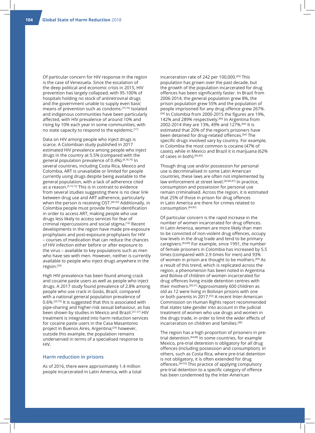Of particular concern for HIV response in the region is the case of Venezuela. Since the escalation of the deep political and economic crisis in 2015, HIV prevention has largely collapsed, with 95-100% of hospitals holding no stock of antiretroviral drugs and the government unable to supply even basic means of prevention such as condoms.[75,76] Isolated and indigenous communities have been particularly affected, with HIV prevalence of around 10% and rising by 10% each year in some communities, with no state capacity to respond to the epidemic.[77]

Data on HIV among people who inject drugs is scarce. A Colombian study published in 2017 estimated HIV prevalence among people who inject drugs in the country at 5.5% (compared with the general population prevalence of 0.4%).[8,78,79] In several countries, including Costa Rica, Mexico and Colombia, ART is unavailable or limited for people currently using drugs despite being available to the general population, with a lack of adherence cited as a reason.[9,10,12] This is in contrast to evidence from several studies suggesting there is no clear link between drug use and ART adherence, particularly when the person is receiving OST.<sup>[80-82]</sup> Additionally, in Colombia people must provide formal identification in order to access ART, making people who use drugs less likely to access services for fear of criminal repercussions and social stigma.[16] Recent developments in the region have made pre-exposure prophylaxis and post-exposure prophylaxis for HIV – courses of medication that can reduce the chances of HIV infection either before or after exposure to the virus – available to key populations such as men who have sex with men. However, neither is currently available to people who inject drugs anywhere in the region.[39]

High HIV prevalence has been found among crack and cocaine paste users as well as people who inject drugs. A 2017 study found prevalence of 2.8% among people who use crack in Goiás, Brazil, compared with a national general population prevalence of 0.6%.[69,79] It is suggested that this is associated with pipe-sharing and higher-risk sexual behaviour, as has been shown by studies in Mexico and Brazil.<sup>[25-27]</sup> HIV treatment is integrated into harm reduction services for cocaine paste users in the Casa Masantonio project in Buenos Aires, Argentina;<sup>[24]</sup> however, outside this example, the population remains underserved in terms of a specialised response to HIV.

#### **Harm reduction in prisons**

As of 2016, there were approximately 1.4 million people incarcerated in Latin America, with a total

incarceration rate of 242 per 100,000.[83] This population has grown over the past decade, but the growth of the population incarcerated for drug offences has been significantly faster. In Brazil from 2006-2014, the general population grew 8%, the prison population grew 55% and the population of people imprisoned for any drug offence grew 267%. [84] In Colombia from 2000-2015 the figures are 19%, 142% and 289% respectively.<sup>[84]</sup> In Argentina from 2002-2014 they are 13%, 49% and 127%.[84] It is estimated that 20% of the region's prisoners have been detained for drug-related offences.[84] The specific drugs involved vary by country. For example, in Colombia the most common is cocaine (47% of cases), while in Mexico and Brazil it is marijuana (62% of cases in both).[84,85]

Though drug use and/or possession for personal use is decriminalised in some Latin American countries, these laws are often not implemented by law enforcement at street level.<sup>[84,86,87]</sup> In practice, consumption and possession for personal use remain criminalised. Across the region, it is estimated that 25% of those in prison for drug offences in Latin America are there for crimes related to consumption.[84,85]

Of particular concern is the rapid increase in the number of women incarcerated for drug offences. In Latin America, women are more likely than men to be convicted of non-violent drug offences, occupy low levels in the drug trade and tend to be primary caregivers.[84,88] For example, since 1991, the number of female prisoners in Colombia has increased by 5.5 times (compared with 2.9 times for men) and 93% of women in prison are thought to be mothers.[89] As a result of this trend, which is replicated across the region, a phenomenon has been noted in Argentina and Bolivia of children of women incarcerated for drug offences living inside detention centres with their mothers.[90,91] Approximately 600 children as old as 12 were living in Bolivian prisons with one or both parents in 2017.[92] A recent Inter-American Commission on Human Rights report recommended that states take gender into account in the judicial treatment of women who use drugs and women in the drugs trade, in order to limit the wider effects of incarceration on children and families.<sup>[88]</sup>

The region has a high proportion of prisoners in pretrial detention.[84,88] In some countries, for example Mexico, pre-trial detention is obligatory for all drug offences (including possession and consumption). In others, such as Costa Rica, where pre-trial detention is not obligatory, it is often extended for drug offences.[84,93] This practice of applying compulsory pre-trial detention to a specific category of offence has been condemned by the Inter-American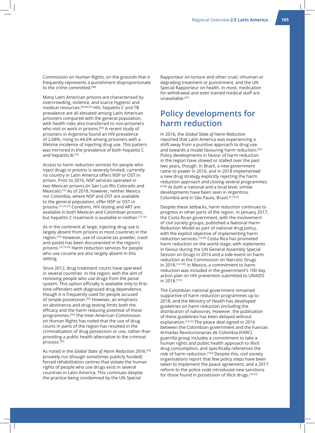Commission on Human Rights, on the grounds that it frequently represents a punishment disproportionate to the crime committed.<sup>[88]</sup>

Many Latin American prisons are characterised by overcrowding, violence, and scarce hygienic and medical resources.[84,86,94] HIV, hepatitis C and TB prevalence are all elevated among Latin American prisoners compared with the general population, with health risks also transferred to non-prisoners who visit or work in prisons.<sup>[84]</sup> A recent study of prisoners in Argentina found an HIV prevalence of 2.68%, rising to 44.6% among prisoners with a lifetime incidence of injecting drug use. This pattern was mirrored in the prevalence of both hepatitis C and hepatitis  $B^{[72]}$ 

Access to harm reduction services for people who inject drugs in prisons is severely limited; currently no country in Latin America offers NSP or OST in prison. Prior to 2016, NSP services operated in two Mexican prisons (in San Luis Río Colorado and Mexicali).[12] As of 2018, however, neither Mexico nor Colombia, where NSP and OST are available to the general population, offer NSP or OST in prisons.[12,16,22] Condoms, HIV testing and ART are available in both Mexican and Colombian prisons, but hepatitis C treatment is available in neither.[12,16]

As in the continent at large, injecting drug use is largely absent from prisons in most countries in the region.[10] However, use of cocaine (as powder, crack and paste) has been documented in the region's prisons.[10,72,95] Harm reduction services for people who use cocaine are also largely absent in this setting.

Since 2012, drug treatment courts have operated in several countries in the region, with the aim of removing people who use drugs from the penal system. This option officially is available only to firsttime offenders with diagnosed drug dependence, though it is frequently used for people accused of simple possession.<sup>[94]</sup> However, an emphasis on abstinence and drug testing limits both the efficacy and the harm reducing potential of these programmes.[94] The Inter-American Commission on Human Rights has noted that the use of drug courts in parts of the region has resulted in the criminalisation of drug possession or use, rather than providing a public health alternative to the criminal process.[96]

As noted in the *Global State of Harm Reduction 2016*, [29] privately run (though sometimes publicly funded) forced rehabilitation centres that violate the human rights of people who use drugs exist in several countries in Latin America. This continues despite the practice being condemned by the UN Special

Rapporteur on torture and other cruel, inhuman or degrading treatment or punishment, and the UN Special Rapporteur on health. In most, medication for withdrawal and even trained medical staff are unavailable.[97]

# **Policy developments for harm reduction**

In 2016, the *Global State of Harm Reduction* reported that Latin America was experiencing a shift away from a punitive approach to drug use and towards a model favouring harm reduction.<sup>[29]</sup> Policy developments in favour of harm reduction in the region have slowed or stalled over the past two years, though. In Brazil, a new government came to power in 2016, and in 2018 implemented a new drug strategy explicitly rejecting the harm reduction approach and closing several programmes. [6,98] At both a national and a local level, similar developments have been seen in Argentina, Colombia and in São Paulo, Brazil.[4,16,52]

Despite these setbacks, harm reduction continues to progress in other parts of the region. In January 2017, the Costa Rican government, with the involvement of civil society groups, published a National Harm Reduction Model as part of national drug policy, with the explicit objective of implementing harm reduction services.[10,99] Costa Rica has promoted harm reduction on the world stage, with statements in favour during the UN General Assembly Special Session on Drugs in 2016 and a side-event on harm reduction at the Commission on Narcotic Drugs in 2018.[10,100] In Mexico, a commitment to harm reduction was included in the government's 100 day action plan on HIV prevention submitted to UNAIDS in 2018.[101]

The Colombian national government remained supportive of harm reduction programmes up to 2018, and the Ministry of Health has developed guidelines on harm reduction (including the distribution of naloxone). However, the publication of these guidelines has been delayed without explanation.<sup>[16,22]</sup> The peace deal signed in 2016 between the Colombian government and the Fuerzas Armadas Revolucionarias de Colombia (FARC) guerrilla group includes a commitment to take a human rights and public health approach to illicit drug consumption, and specifically references the role of harm reduction.<sup>[103]</sup> Despite this, civil society organisations report that few policy steps have been taken to implement the peace agreement, and a 2017 reform to the police code introduced new sanctions for those found in possession of illicit drugs.<sup>[16,22]</sup>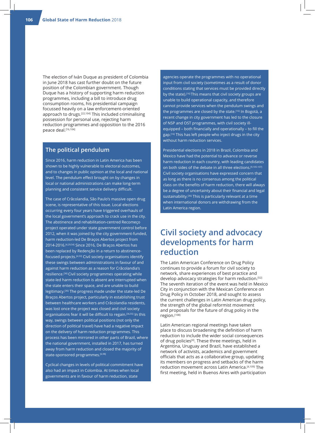The election of Iván Duque as president of Colombia in June 2018 has cast further doubt on the future position of the Colombian government. Though Duque has a history of supporting harm reduction programmes, including a bill to introduce drug consumption rooms, his presidential campaign focussed heavily on a law enforcement-oriented approach to drugs.[22,104] This included criminalising possession for personal use, rejecting harm reduction programmes and opposition to the 2016 peace deal.[16,104]

#### **The political pendulum**

Since 2016, harm reduction in Latin America has been shown to be highly vulnerable to electoral outcomes, and to changes in public opinion at the local and national level. The pendulum effect brought on by changes in local or national administrations can make long-term planning and consistent service delivery difficult.

The case of Crâcolandia, São Paulo's massive open drug scene, is representative of this issue. Local elections occurring every four years have triggered overhauls of the local government's approach to crack use in the city. The abstinence and rehabilitation-centred Recomeço project operated under state government control before 2012, when it was joined by the city government-funded, harm reduction-led De Braços Abertos project from 2014-2016.[4,29,54] Since 2016, De Braços Abertos has been replaced by Redenção in a return to abstinencefocused projects.[4,53] Civil society organisations identify these swings between administrations in favour of and against harm reduction as a reason for Crâcolandia's resilience.[36] Civil society programmes operating while state-led harm reduction is absent are interrupted when the state enters their space, and are unable to build legitimacy.[36] The progress made under the state-led De Braços Abertos project, particularly in establishing trust between healthcare workers and Crâcolandia residents, was lost once the project was closed and civil society organisations fear it will be difficult to regain.<sup>[36,55]</sup> In this way, swings between political positions (not only the direction of political travel) have had a negative impact on the delivery of harm reduction programmes. This process has been mirrored in other parts of Brazil, where the national government, installed in 2017, has turned away from harm reduction and closed the majority of state-sponsored programmes.<sup>[6,98]</sup>

Cyclical changes in levels of political commitment have also had an impact in Colombia. At times when local governments are in favour of harm reduction, state

agencies operate the programmes with no operational input from civil society (sometimes as a result of donor conditions stating that services must be provided directly by the state).<sup>[16]</sup> This means that civil society groups are unable to build operational capacity, and therefore cannot provide services when the pendulum swings and the programmes are closed by the state.<sup>[16]</sup> In Bogotá, a recent change in city government has led to the closure of NSP and OST programmes, with civil society illequipped – both financially and operationally – to fill the gap.<sup>[16]</sup> This has left people who inject drugs in the city without harm reduction services.

Presidential elections in 2018 in Brazil, Colombia and Mexico have had the potential to advance or reverse harm reduction in each country, with leading candidates on both sides of the debate in all three elections.<sup>[9,105-107]</sup> Civil society organisations have expressed concern that as long as there is no consensus among the political class on the benefits of harm reduction, there will always be a degree of uncertainty about their financial and legal sustainability.<sup>[36]</sup> This is particularly relevant at a time when international donors are withdrawing from the Latin America region.

# **Civil society and advocacy developments for harm reduction**

The Latin American Conference on Drug Policy continues to provide a forum for civil society to network, share experiences of best practice and develop advocacy strategies for harm reduction.<sup>[52]</sup> The seventh iteration of the event was held in Mexico City in conjunction with the Mexican Conference on Drug Policy in October 2018, and sought to assess the current challenges in Latin American drug policy, the strength of the global reformist movement and proposals for the future of drug policy in the region.[108]

Latin American regional meetings have taken place to discuss broadening the definition of harm reduction to include the wider social consequences of drug policies<sup>[4]</sup>. These three meetings, held in Argentina, Uruguay and Brazil, have established a network of activists, academics and government officials that acts as a collaborative group, updating its members on progress and setbacks of the harm reduction movement across Latin America.<sup>[4,109]</sup> The first meeting, held in Buenos Aires with participation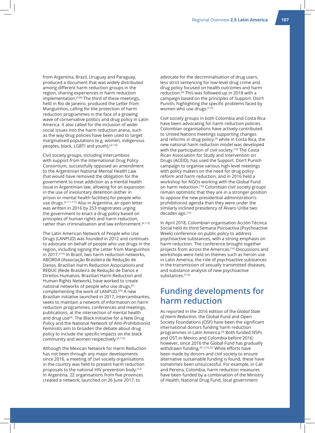from Argentina, Brazil, Uruguay and Paraguay, produced a document that was widely distributed among different harm reduction groups in the region, sharing experiences in harm reduction implementation.<sup>[109]</sup> The third of these meetings, held in Rio de Janeiro, produced the Letter from Manguinhos, calling for the protection of harm reduction programmes in the face of a growing wave of conservative politics and drug policy in Latin America. It also called for the inclusion of wider social issues into the harm reduction arena, such as the way drug policies have been used to target marginalised populations (e.g. women, indigenous peoples, black, LGBTI and youth).[4,110]

Civil society groups, including Intercambios with support from the International Drug Policy Consortium, successfully opposed an amendment to the Argentinian National Mental Health Law that would have removed the obligation for the government to treat addiction as a mental health issue in Argentinian law, allowing for an expansion in the use of involuntary detention (either in prison or mental health facilities) for people who use drugs.[4,111,112] Also in Argentina, an open letter was written in 2016 by 253 magistrates urging the government to enact a drug policy based on principles of human rights and harm reduction, rather than criminalisation and law enforcement.<sup>[4,113]</sup>

The Latin American Network of People who Use Drugs (LANPUD) was founded in 2012 and continues to advocate on behalf of people who use drugs in the region, including signing the Letter from Manguinhos in 2017.<sup>[110]</sup> In Brazil, two harm reduction networks, ABORDA (Associação Brasileira de Redução de Danos, Brazilian Harm Reduction Association) and REDUC (Rede Brasileira de Redução de Danos e Direitos Humanos, Brazilian Harm Reduction and Human Rights Network), have worked to create national networks of people who use drugs,<sup>[6]</sup> complementing the work of LANPUD.[29] A new Brazilian initiative launched in 2017, Intercambiantes, seeks to maintain a network of information on harm reduction programmes, conferences and meetings, publications, at the intersection of mental health and drug use<sup>[4]</sup>. The Black Initiative for a New Drug Policy and the National Network of Anti-Prohibitionist Feminists aim to broaden the debate about drug policy to include the specific impacts on the black community and women respectively.[4,114]

Although the Mexican Network for Harm Reduction has not been through any major developments since 2016, a meeting of civil society organisations in the country was held to present harm reduction proposals to the national HIV prevention body.<sup>[12]</sup> In Argentina, 22 organisations from five provinces created a network, launched on 26 June 2017, to

advocate for the decriminalisation of drug users, less strict sentencing for low-level drug crime and drug policy focused on health outcomes and harm reduction.[4] This was followed up in 2018 with a campaign based on the principles of Support. Don't Punish, highlighting the specific problems faced by women who use drugs.[115]

Civil society groups in both Colombia and Costa Rica have been advocating for harm reduction policies. Colombian organisations have actively contributed to United Nations meetings supporting changes and reforms in drug policy,<sup>[9]</sup> while in Costa Rica, the new national harm reduction model was developed with the participation of civil society.<sup>[10]</sup> The Costa Rican Association for Study and Intervention on Drugs (ACEID), has used the Support. Don't Punish campaign to organise various high-level meetings with policy makers on the need for drug policy reform and harm reduction, and in 2016 held a workshop for NGOs working with the Global Fund on harm reduction.<sup>[10]</sup> Colombian civil society groups remain optimistic that they are in a stronger position to oppose the new presidential administration's prohibitionist agenda than they were under the similarly inclined presidency of Álvaro Uribe two decades ago.<sup>[16]</sup>

In April 2018, Colombian organisation Acción Técnica Social held its third Semana Psicoactiva (Psychoactive Week) conference on public policy to address psychoactive substances, with a strong emphasis on harm reduction. The conference brought together projects from across the Americas.[16] Discussions and workshops were held on themes such as heroin use in Latin America, the role of psychoactive substances in the transmission of sexually transmitted diseases, and substance analysis of new psychoactive substances.[116]

# **Funding developments for harm reduction**

As reported in the 2016 edition of the *Global State of Harm Reduction*, the Global Fund and Open Society Foundations (OSF) have been the significant international donors funding harm reduction programmes in Latin America.<sup>[4]</sup> Both funded NSPs and OST in Mexico and Colombia before 2016; however, since 2016 the Global Fund has gradually withdrawn funding.<sup>[9,12,16,22]</sup> While efforts have been made by donors and civil society to ensure alternative sustainable funding is found, these have sometimes been unsuccessful. For example, in Cali and Pereira, Colombia, harm reduction measures have been funded by a combination of the Ministry of Health, National Drug Fund, local government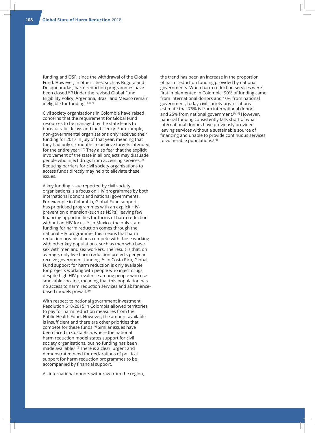funding and OSF, since the withdrawal of the Global Fund. However, in other cities, such as Bogota and Dosquebradas, harm reduction programmes have been closed.[22] Under the revised Global Fund Eligibility Policy, Argentina, Brazil and Mexico remain ineligible for funding.[4,117]

Civil society organisations in Colombia have raised concerns that the requirement for Global Fund resources to be managed by the state leads to bureaucratic delays and inefficiency. For example, non-governmental organisations only received their funding for 2017 in July of that year, meaning that they had only six months to achieve targets intended for the entire year.[16] They also fear that the explicit involvement of the state in all projects may dissuade people who inject drugs from accessing services.<sup>[16]</sup> Reducing barriers for civil society organisations to access funds directly may help to alleviate these issues.

A key funding issue reported by civil society organisations is a focus on HIV programmes by both international donors and national governments. For example in Colombia, Global Fund support has prioritised programmes with an explicit HIVprevention dimension (such as NSPs), leaving few financing opportunities for forms of harm reduction without an HIV focus.[22] In Mexico, the only state funding for harm reduction comes through the national HIV programme; this means that harm reduction organisations compete with those working with other key populations, such as men who have sex with men and sex workers. The result is that, on average, only five harm reduction projects per year receive government funding.<sup>[12]</sup> In Costa Rica, Global Fund support for harm reduction is only available for projects working with people who inject drugs, despite high HIV prevalence among people who use smokable cocaine, meaning that this population has no access to harm reduction services and abstinencebased models prevail.[10]

With respect to national government investment, Resolution 518/2015 in Colombia allowed territories to pay for harm reduction measures from the Public Health Fund. However, the amount available is insufficient and there are other priorities that compete for these funds.[9] Similar issues have been faced in Costa Rica, where the national harm reduction model states support for civil society organisations, but no funding has been made available.<sup>[10]</sup> There is a clear, urgent and demonstrated need for declarations of political support for harm reduction programmes to be accompanied by financial support.

As international donors withdraw from the region,

the trend has been an increase in the proportion of harm reduction funding provided by national governments. When harm reduction services were first implemented in Colombia, 90% of funding came from international donors and 10% from national government; today civil society organisations estimate that 75% is from international donors and 25% from national government.<sup>[9,16]</sup> However, national funding consistently falls short of what international donors have previously provided, leaving services without a sustainable source of financing and unable to provide continuous services to vulnerable populations.[16]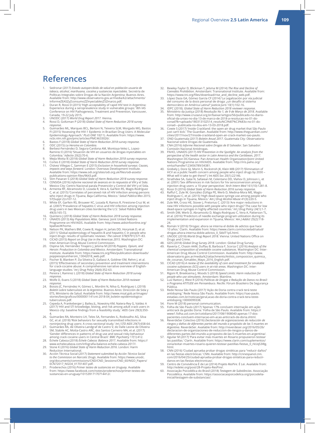## **References**

- 1. Sedronar (2017) Estado autopercibido de salud en población usuaria de<br>tabaco, alcohol, marihuana, cocaína y sustancias inyectables. Secretría de<br>Políticas Integrales sobre Drogas de la Nación Argentina: Buenos Aires. Available from: http://www.observatorio.gov.ar/media/k2/attachments/<br>InformeZEASZyZconsumoZZInyectablesZ5Zmarzo.pdf.<br>2. Duran R, Rossi D (2015) 'High acceptability of rapid HIV test in Argentina:
- Experience during a seroprevalence study in vulnerable groups.' 8th IAS Conference on HIV Pathogenesis, Treatment and Prevention, Vancouver, Canada, 19-22 July 2015. 3. UNODC (2017) *World Drug Report 2017.* Vienna.
- 
- 4. Rossi D, Goltzman P (2018) *Global State of Harm Reduction 2018 survey response*.
- 5. Guimarães ML, Marques BCL, Bertoni N, Teixeira SLM, Morgado MG, Bastos FI (2015) 'Assessing the HIV-1 Epidemic in Brazilian Drug Users: A Molecular Epidemiology Approach.' PLoS ONE 10(11). Available from: https://www.<br>ncbi.nlm.nih.gov/pmc/articles/PMC4633026/.<br>6. Bastos F (2018) Global State of Harm Reduction 2018 survey response.<br>7. ODC (2015) La Heroína en Colombia.
- 
- 
- 8. Berbesi-Fernández D, Segura-Cardona AM, Montoya-Velez L, Lopez-Ramirez E (2016) 'Situación de VIH en usuarios de drogas inyectables en Colombia.' *Infectio* 20(2):70-6. 9. Mejía Motta IE (2018) *Global State of Harm Reduction 2018 survey response*.
- 
- 10. Cortes E (2018) *Global State of Harm Reduction 2018 survey response*. 11. Chávez Villegas C, Samman E (2015) *Exclusion in household surveys: Causes, impacts and ways forward*. London: Overseas Development Institute.<br>Available from: https://www.odi.org/sites/odi.org.uk/files/odi-assets/
- publications-opinion-files/9643.pdf. 12. Slim Pasaran S (2018) *Global State of Harm Reduction 2018 survey response*.
- 13. CENSIDA (2016) *Informe nacional de avances en la respuesta al VIH y el Sida.*<br>Mexico City: Centro Nacional parala Prevención y Control del VIH y el Sida.<br>Armenta RF, Abramovitz D, Lozada R, Vera A, Garfein RS, Magis-R
- who inject drugs in Tijuana, Baja California, Mexico.' *Salud Pública Mex* 2015;<br>57(Suppl 2):s107-12.<br>15. White EF, Garfein RS, Brouwer KC, Lozada R, Ramos R, Firestone-Cruz M, et<br>al. (2007) 'Prevalence of hepatitis C viru drug users in two Mexican cities bordering the U.S.' *Salud Pública Mex* 49(3):165-72.
- 16. Quintero J (2018) *Global State of Harm Reduction 2018 survey response*. 17. UNAIDS (2013) *Key Populations Atlas*. Geneva: Joint United Nations Programme on HIV/AIDS. Available from: http://www.aidsinfoonline.org/
- kpatlas/#/home.<br>
18. Nelson PK, Mathers BM, Cowie B, Hagan H, Jarlais DD, Horyniak D, et al.<br>
18. Nelson PK, Mathers BM, Cowie B, Hagan H, Jarlais DD, Horyniak D, et al.<br>
19. CICAD (2015) Report on Drug Use in the Americas
- 
- 
- poppiesopiumheroin\_13042018\_web.pdf. 21. Fischer B, Blanken P, Da Silveira D, Gallassi A, Goldner EM, Rehm J, et al. (2015) 'Effectiveness of secondary prevention and treatment interventions for crack-cocaine abuse: A comprehensive narrative overview of English-
- language studies.' *Int J Drug Policy* 26(4):352-63. 22. Pereira I, Ramirez L (2018) *Global State of Harm Reduction 2018 survey response*.
- 23. Wolfe D, Evans S (2018) *Global State of Harm Reduction 2018 reviewer response*.
- 24. Bossio JC, Fernández H, Gómez L, Mordini N, Nilva G, Rodríguez L (2018) *Boletín sobre tuberculosis en la Argentina*. Buenos Aires: Dirección de Sida y ETS, Ministerio de Salud. Available from: http://www.msal.gob.ar/images/ stories/bes/graficos/0000001141cnt-2018-04\_boletin-epidemiologicotuberculosis.pdf.
- 25. Cepeda A, Frankeberger J, Bailey JL, Nowotny KM, Natera-Rey G, Valdez A<br>(2017) 'HIV and STI knowledge, testing, and risk among adult crack users in<br>Mexico city: baseline findings from a feasibility study*: AIDS Care 2*
- 4. 26. Guimarães RA, Monteiro LH, Teles SA, Fernandes IL, Rodovalho AG, Silva GC, et al. (2018) 'Risk behaviors for sexually transmitted infections in
- noninjecting drug users: A cross-sectional study.' *Int J STD AIDS 29(7):658-64.*<br>27. Guimarães RA, de Oliveira Landgraf de Castro V, do Valle Leone de Oliveira<br>SM, Stabile AC, Motta-Castro ARC, dos Santos Carneiro MA, et
- among crack cocaine users in Central Brazil.' *BMC Psychiatry* 17(1):412. 28. Échele Cabeza (2018) *Échele Cabeza: Balance 2017*. Available from: https://
- www.echelecabeza.com/infografia-balance-echele-cabeza-2017/. 29. Stone K (2016) *Global State of Harm Reduction 2016*. London: Harm Reduction International.
- 30. Acción Técnica Social (2017) *Statement submitted by Acción Técnica Social to the Commision on Narcotic Drugs. A*vailable from: https://www.unodc.<br>org/documents/commissions/CND/CND\_Sessions/CND\_60/NGO\_Papers/<br>ECN72017\_NGO4\_V1701407.pdf.
- 31. Proderechos (2016) *Primer testeo de sustancias en Uruguay*. Available from: https://www.facebook.com/notes/proderechos/primer-testeo-desustancias-en-uruguay/10153917170714412/.
- 32. Bewley-Taylor D, Blickman T, Jelsma M (2014) *The Rise and Decline of Cannabis Prohibition*. Amsterdam: Transnational Institute. Available from:
- https://www.tni.org/files/download/rise\_and\_decline\_web.pdf. 33. López Daza GA, Gómez García CF (2014) 'La Legalización por vía judicial del consumo de la dosis personal de droga: عند denosario al sistema<br>democrático en América Latina? J*usticia Juris 1*0(1):102-16.<br>34. IDPC (2018). *Global State of Harm Reduction 2018 reviewer response.*<br>35. Ministério da
- from: http://www.cruzazul.org.br/baixar/artigos/56/publicado-no-diario-oficial-da-uniao-no-dia-13-de-marco-de-2018-a-resolucao-no-01-doconad?lk=uploads/180313102514\_resolu%C3%87%C3%83o-no-01-do-conad---publicada-no-dou-em-13-03-2018.pdf.
- 36. Cowie S (2017) 'Inside Crackland: the open-air drug market that São Paulo just can't kick.' The Guardian. Available from: http://www.theguardian.com/
- cities/2017/nov/27/inside-crackland-open-air-crack-market-sao-paulo. 37. OND Guatemala (2017) *Boletin Anual 2017*. Guatemala City: Observatorio Nacional sobre Drogas de Guatemala.
- 38. CNA (2016) *Informe Nacional sobre Drogas de El Salvador*. San Salvador: Comisión Nacional Antidrogas. 39. PAHO, UNAIDS (2017) *HIV Prevention in the Spotlight. An analysis from the*
- *perspective of the health sector in Latin America and the Caribbean, 2017*. Washington DC/Geneva: Pan American Health Organization/Joint United Nations Programme on HIV/AIDS. Available from: http://iris.paho.org/ xmlui/handle/123456789/34381.
- 40. Grebely J, Dore GJ, Morin S, Rockstroh JK, Klein MB (2017) 'Elimination of HCV as a public health concern among people who inject drugs by 2030 –
- What will it take to get there?' *J Int AIDS Soc* 20(1):22146. 41. Strathdee SA, Galai N, Safaiean M, Celentano DD, Vlahov D, Johnson L, et al. (2001) 'Sex differences in risk factors for hiv seroconversion among injection drug users: a 10-year perspective.' *Arch Intern Med* 161(10):1281-8.
- 42. Rossi D (2016) *Global State of Harm Reduction 2016 survey response*. 43. Rafful C, Zule W, González-Zúñiga PE, Werb D, Medina-Mora ME, Magis-
- Rodriguez C, et al. (2015) 'High dead-space syringe use among people who<br>inject drugs in Tijuana, Mexico.' *Am J Drug Alcohol Abuse 4*1(3):220-5.<br>44. Zule WA, Cross HE, Stover J, Pretorius C. (2013) 'Are major reductions i
- dead-space syringes in highly affected countries.' *Int J Drug Policy* 24(1):1-7. 45. Smith DM, Werb D, Abramovitz D, Magis-Rodriguez C, Vera A, Patterson TL, et al. (2016) 'Predictors of needle exchange program utilization during its implementation and expansion in Tijuana, Mexico.' *Am J Addict* 25(2):118-
- 24.<br>46. Román V (2016) 'Drogas: ahora se interna el doble de adictos que hace<br>6. Román V (2016) 'Clarín. Available from: https://www.clarin.com/sociedad/salud/<br>drogas-ahora-interna-doble-adictos\_0\_SkbIT1pS.html.<br>47. UNODC
- 
- 48. GDS (2018) *Global Drug Survey 2018*. London: Global Drug Survey. 49. Raverta C, Chasin AAM, Duffau B, Barboza F, Scorza C (2016) *Analysis of the*
- *chemical composition of smokable cocaine substances*. Washington DC: Inter-American Drug Abuse Control Commission. Available from: http://www. observatorio.gov.ar/media/k2/attachments/Anlisis\_composicion\_quimica\_ de\_cocanas\_fumables\_Mayo\_2016\_English.pdf.
- 50. CICAD (2016) *A review of the availability of care and treatment for smokable cocaine substances (SCS) users in at-risk areas*. Washington DC: Inter-
- American Drug Abuse Control Commission.<br>1998 Rigoni R, Breeksema J, Woods S (2018) Speed Limits: Harm reduction for<br>1998 Jeople who use stimulants. Amsterdam: Mainline.<br>1998 Luiz Ratton J, West R (2016) Políticas de
- *o Programa ATITUDE em Pernambuco*. Recife: Fórum Brasileiro De Segurança Pública.
- 53. Rede Nossa São Paulo (2017) 'Ação de Doria contra crack terá teste antidoping.' Rede Nossa São Paulo. Available from: https://sao-paulo. estadao.com.br/noticias/geral,acao-de-doria-contra-crack-tera-teste-antidoping,10000099338.
- 
- 54. Fiore M (2018) personal communication.<br>55. Folha de São Paulo (2017) 'Apenas 17% concluem internação em ação<br> anticrack da gestão Doria.' Folha de São Paulo. Available from: https:// www1.folha.uol.com.br/cotidiano/2017/08/1908040-apenas-17-dos-
- pacientes-concluem-internacao-em-acao-anticrack-de-doria.shtml. 56. ReverdeSer Colectivo (2016) *Declaración de organizaciones de reducción de riesgos y daños de diferentes partes del mundo a propósito de las 5 muertes en Argentina*. ReverdeSer. Available from: http://reverdeser.org/2016/05/26/ declaracion-de-organizaciones-de-reduccion-de-riesgos-y-danos-de-diferentes-partes-del-mundo-a-proposito-de-las-5-muertes-en-argentina/.
- 57. Aguilar M (2017) 'Para evitar más muertes en Rosario propusieron testear las pastillas.' Clarín. Available from: https://www.clarin.com/suplementos/ zona/evitar-muertes-rosario-quieren-testear-pastillas-fiestas\_0\_rkUqS3I8g. html.
- 58. CNN (2016) 'Ciudad aprueba probar drogas sintéticas para "reducir daños" en las fiestas electrónicas.' CNN. Available from: http://cnnespanol.cnn. com/2016/04/25/ciudad-aprueba-probar-drogas-sinteticas-para-reducir-danos-en-las-fiestas-electronicas/.
- 59. Centro de Convivência É de Lei (2014) *Projeto ResPire*. É Lei. Available from: http://edelei.org/post/28-Projeto-ResPire/.
- 60. Associação Psicodélica do Brasil (2018) *Testagem de Substâncias*. Associação Psicodélica. Available from: https://associacaopsicodelica.org/psicodeliainicial/testagem-de-substancias/.